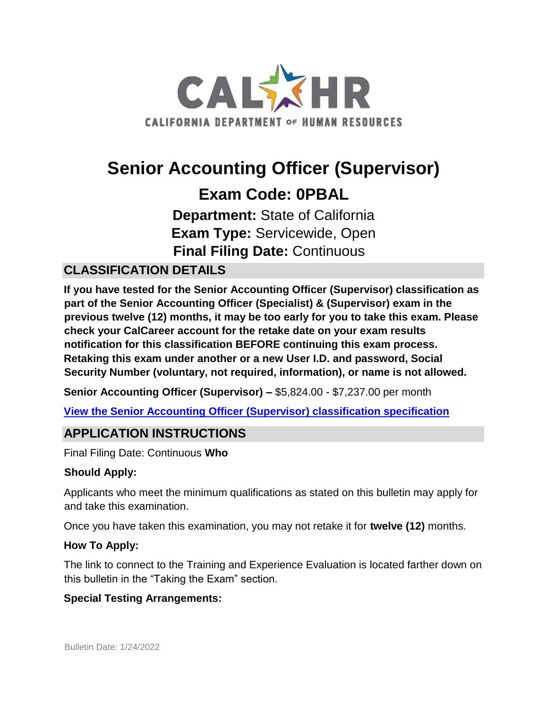

# **Senior Accounting Officer (Supervisor) Exam Code: 0PBAL**

**Department:** State of California **Exam Type:** Servicewide, Open **Final Filing Date:** Continuous

# **CLASSIFICATION DETAILS**

**If you have tested for the Senior Accounting Officer (Supervisor) classification as part of the Senior Accounting Officer (Specialist) & (Supervisor) exam in the previous twelve (12) months, it may be too early for you to take this exam. Please check your CalCareer account for the retake date on your exam results notification for this classification BEFORE continuing this exam process. Retaking this exam under another or a new User I.D. and password, Social Security Number (voluntary, not required, information), or name is not allowed.**

**Senior Accounting Officer (Supervisor) –** \$5,824.00 - \$7,237.00 per month

**[View the Senior Accounting Officer \(Supervisor\) classification specification](https://www.calhr.ca.gov/state-hr-professionals/pages/4179.aspx)**

# **APPLICATION INSTRUCTIONS**

Final Filing Date: Continuous **Who** 

### **Should Apply:**

Applicants who meet the minimum qualifications as stated on this bulletin may apply for and take this examination.

Once you have taken this examination, you may not retake it for **twelve (12)** months.

### **How To Apply:**

The link to connect to the Training and Experience Evaluation is located farther down on this bulletin in the "Taking the Exam" section.

### **Special Testing Arrangements:**

Bulletin Date: 1/24/2022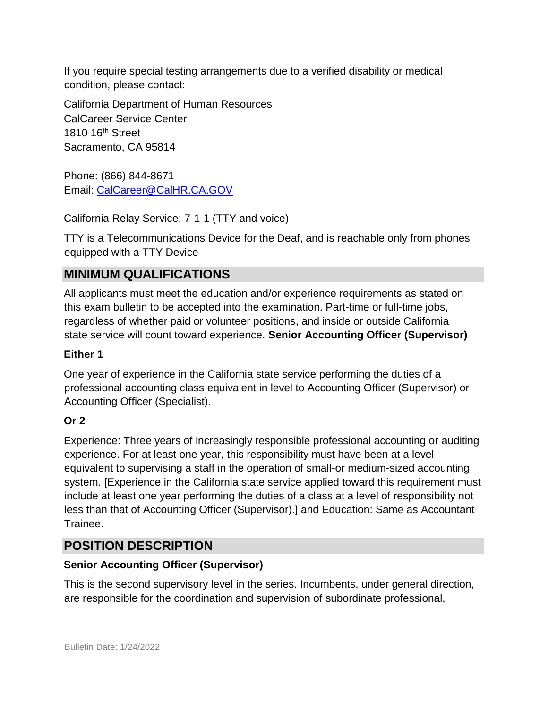If you require special testing arrangements due to a verified disability or medical condition, please contact:

California Department of Human Resources CalCareer Service Center 1810 16<sup>th</sup> Street Sacramento, CA 95814

Phone: (866) 844-8671 Email: CalCareer@CalHR.CA.GOV

California Relay Service: 7-1-1 (TTY and voice)

TTY is a Telecommunications Device for the Deaf, and is reachable only from phones equipped with a TTY Device

# **MINIMUM QUALIFICATIONS**

All applicants must meet the education and/or experience requirements as stated on this exam bulletin to be accepted into the examination. Part-time or full-time jobs, regardless of whether paid or volunteer positions, and inside or outside California state service will count toward experience. **Senior Accounting Officer (Supervisor)** 

### **Either 1**

One year of experience in the California state service performing the duties of a professional accounting class equivalent in level to Accounting Officer (Supervisor) or Accounting Officer (Specialist).

### **Or 2**

Experience: Three years of increasingly responsible professional accounting or auditing experience. For at least one year, this responsibility must have been at a level equivalent to supervising a staff in the operation of small-or medium-sized accounting system. [Experience in the California state service applied toward this requirement must include at least one year performing the duties of a class at a level of responsibility not less than that of Accounting Officer (Supervisor).] and Education: Same as Accountant Trainee.

# **POSITION DESCRIPTION**

### **Senior Accounting Officer (Supervisor)**

This is the second supervisory level in the series. Incumbents, under general direction, are responsible for the coordination and supervision of subordinate professional,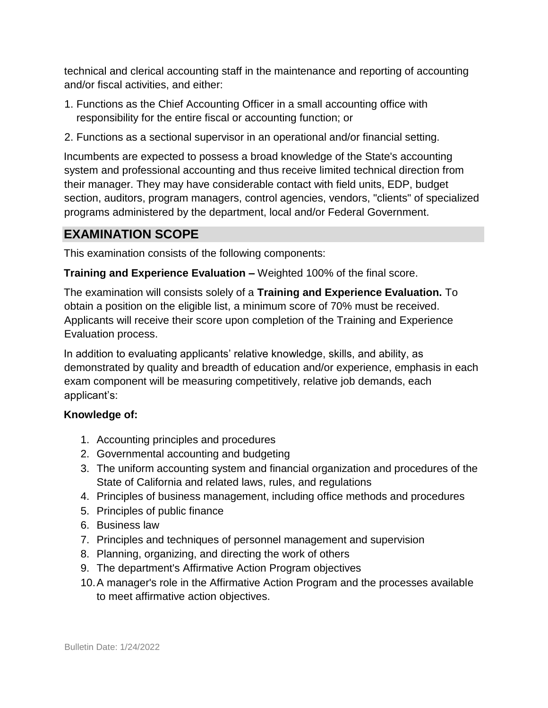technical and clerical accounting staff in the maintenance and reporting of accounting and/or fiscal activities, and either:

- 1. Functions as the Chief Accounting Officer in a small accounting office with responsibility for the entire fiscal or accounting function; or
- 2. Functions as a sectional supervisor in an operational and/or financial setting.

Incumbents are expected to possess a broad knowledge of the State's accounting system and professional accounting and thus receive limited technical direction from their manager. They may have considerable contact with field units, EDP, budget section, auditors, program managers, control agencies, vendors, "clients" of specialized programs administered by the department, local and/or Federal Government.

## **EXAMINATION SCOPE**

This examination consists of the following components:

**Training and Experience Evaluation –** Weighted 100% of the final score.

The examination will consists solely of a **Training and Experience Evaluation.** To obtain a position on the eligible list, a minimum score of 70% must be received. Applicants will receive their score upon completion of the Training and Experience Evaluation process.

In addition to evaluating applicants' relative knowledge, skills, and ability, as demonstrated by quality and breadth of education and/or experience, emphasis in each exam component will be measuring competitively, relative job demands, each applicant's:

#### **Knowledge of:**

- 1. Accounting principles and procedures
- 2. Governmental accounting and budgeting
- 3. The uniform accounting system and financial organization and procedures of the State of California and related laws, rules, and regulations
- 4. Principles of business management, including office methods and procedures
- 5. Principles of public finance
- 6. Business law
- 7. Principles and techniques of personnel management and supervision
- 8. Planning, organizing, and directing the work of others
- 9. The department's Affirmative Action Program objectives
- 10.A manager's role in the Affirmative Action Program and the processes available to meet affirmative action objectives.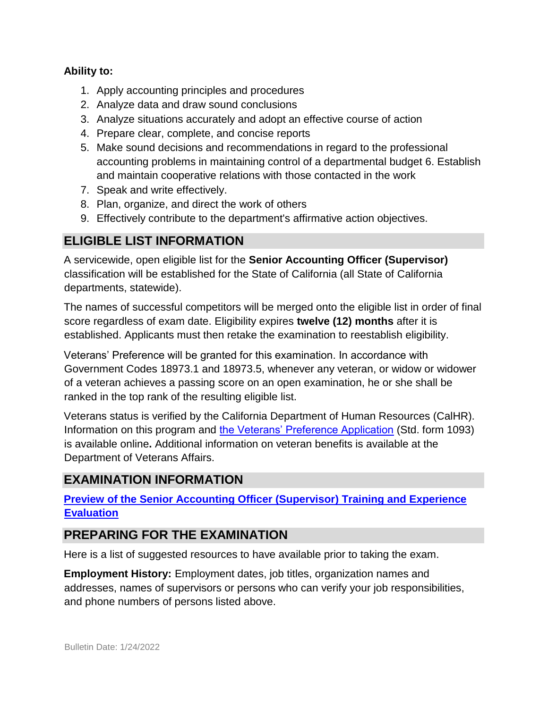#### **Ability to:**

- 1. Apply accounting principles and procedures
- 2. Analyze data and draw sound conclusions
- 3. Analyze situations accurately and adopt an effective course of action
- 4. Prepare clear, complete, and concise reports
- 5. Make sound decisions and recommendations in regard to the professional accounting problems in maintaining control of a departmental budget 6. Establish and maintain cooperative relations with those contacted in the work
- 7. Speak and write effectively.
- 8. Plan, organize, and direct the work of others
- 9. Effectively contribute to the department's affirmative action objectives.

## **ELIGIBLE LIST INFORMATION**

A servicewide, open eligible list for the **Senior Accounting Officer (Supervisor)** classification will be established for the State of California (all State of California departments, statewide).

The names of successful competitors will be merged onto the eligible list in order of final score regardless of exam date. Eligibility expires **twelve (12) months** after it is established. Applicants must then retake the examination to reestablish eligibility.

Veterans' Preference will be granted for this examination. In accordance with Government Codes 18973.1 and 18973.5, whenever any veteran, or widow or widower of a veteran achieves a passing score on an open examination, he or she shall be ranked in the top rank of the resulting eligible list.

Veterans status is verified by the California Department of Human Resources (CalHR). Information on this program and [the Veterans' Preference Application](https://www.jobs.ca.gov/CalHRPublic/Landing/Jobs/VeteransInformation.aspx) [\(](https://www.jobs.ca.gov/CalHRPublic/Landing/Jobs/VeteransInformation.aspx)Std. form 1093) is available online**.** Additional information on veteran benefits is available at the Department of Veterans Affairs.

# **EXAMINATION INFORMATION**

**[Preview of the Senior Accounting Officer \(Supervisor\) Training and Experience](https://jobs.ca.gov/jobsgen/0PBALA.pdf) [Evaluation](https://jobs.ca.gov/jobsgen/0PBALA.pdf)**

# **PREPARING FOR THE EXAMINATION**

Here is a list of suggested resources to have available prior to taking the exam.

**Employment History:** Employment dates, job titles, organization names and addresses, names of supervisors or persons who can verify your job responsibilities, and phone numbers of persons listed above.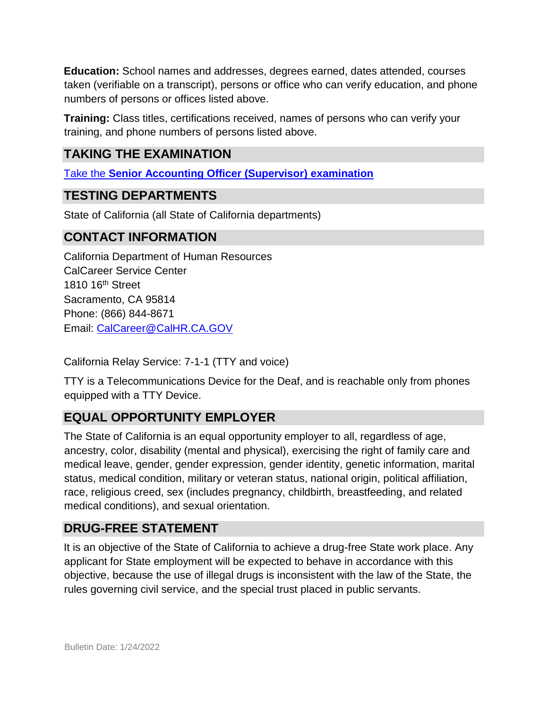**Education:** School names and addresses, degrees earned, dates attended, courses taken (verifiable on a transcript), persons or office who can verify education, and phone numbers of persons or offices listed above.

**Training:** Class titles, certifications received, names of persons who can verify your training, and phone numbers of persons listed above.

# **TAKING THE EXAMINATION**

[Take the](https://www.jobs.ca.gov/CalHRPublic/Login.aspx?ExamId=0PBAL) **[Senior Accounting Officer \(Supervisor\) examination](https://www.jobs.ca.gov/CalHRPublic/Login.aspx?ExamId=0PBAL)**

# **TESTING DEPARTMENTS**

State of California (all State of California departments)

## **CONTACT INFORMATION**

California Department of Human Resources CalCareer Service Center 1810 16<sup>th</sup> Street Sacramento, CA 95814 Phone: (866) 844-8671 Email: CalCareer@CalHR.CA.GOV

California Relay Service: 7-1-1 (TTY and voice)

TTY is a Telecommunications Device for the Deaf, and is reachable only from phones equipped with a TTY Device.

# **EQUAL OPPORTUNITY EMPLOYER**

The State of California is an equal opportunity employer to all, regardless of age, ancestry, color, disability (mental and physical), exercising the right of family care and medical leave, gender, gender expression, gender identity, genetic information, marital status, medical condition, military or veteran status, national origin, political affiliation, race, religious creed, sex (includes pregnancy, childbirth, breastfeeding, and related medical conditions), and sexual orientation.

### **DRUG-FREE STATEMENT**

It is an objective of the State of California to achieve a drug-free State work place. Any applicant for State employment will be expected to behave in accordance with this objective, because the use of illegal drugs is inconsistent with the law of the State, the rules governing civil service, and the special trust placed in public servants.